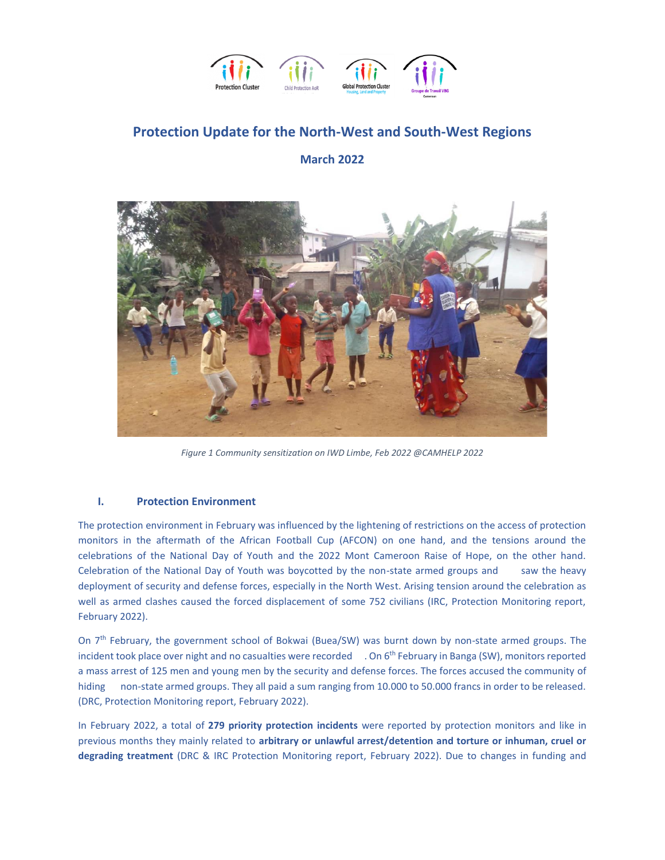

# **Protection Update for the North-West and South-West Regions**

### **March 2022**



*Figure 1 Community sensitization on IWD Limbe, Feb 2022 @CAMHELP 2022*

#### **I. Protection Environment**

The protection environment in February was influenced by the lightening of restrictions on the access of protection monitors in the aftermath of the African Football Cup (AFCON) on one hand, and the tensions around the celebrations of the National Day of Youth and the 2022 Mont Cameroon Raise of Hope, on the other hand. Celebration of the National Day of Youth was boycotted by the non-state armed groups and saw the heavy deployment of security and defense forces, especially in the North West. Arising tension around the celebration as well as armed clashes caused the forced displacement of some 752 civilians (IRC, Protection Monitoring report, February 2022).

On 7th February, the government school of Bokwai (Buea/SW) was burnt down by non-state armed groups. The incident took place over night and no casualties were recorded . On 6<sup>th</sup> February in Banga (SW), monitors reported a mass arrest of 125 men and young men by the security and defense forces. The forces accused the community of hiding non-state armed groups. They all paid a sum ranging from 10.000 to 50.000 francs in order to be released. (DRC, Protection Monitoring report, February 2022).

In February 2022, a total of **279 priority protection incidents** were reported by protection monitors and like in previous months they mainly related to **arbitrary or unlawful arrest/detention and torture or inhuman, cruel or degrading treatment** (DRC & IRC Protection Monitoring report, February 2022). Due to changes in funding and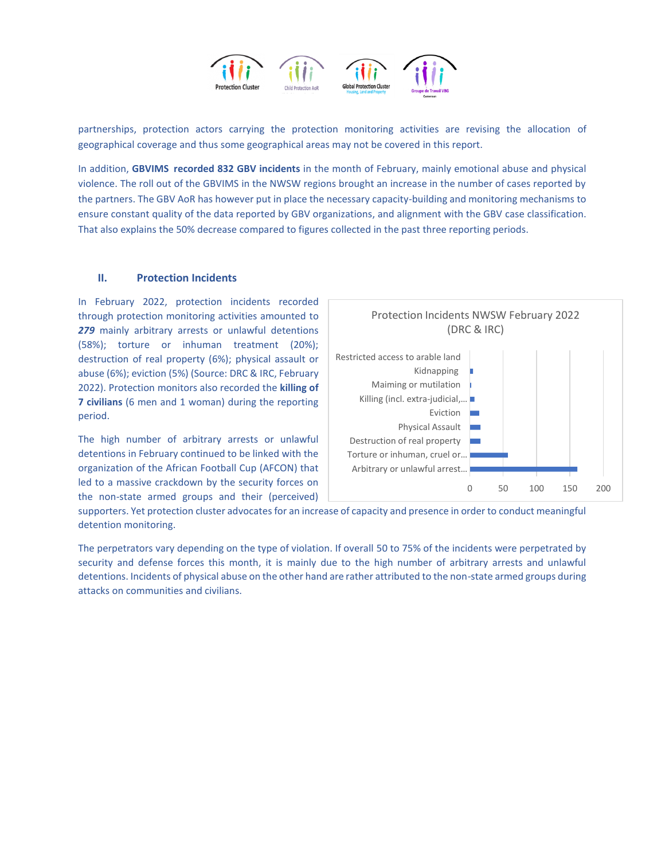

partnerships, protection actors carrying the protection monitoring activities are revising the allocation of geographical coverage and thus some geographical areas may not be covered in this report.

In addition, **GBVIMS recorded 832 GBV incidents** in the month of February, mainly emotional abuse and physical violence. The roll out of the GBVIMS in the NWSW regions brought an increase in the number of cases reported by the partners. The GBV AoR has however put in place the necessary capacity-building and monitoring mechanisms to ensure constant quality of the data reported by GBV organizations, and alignment with the GBV case classification. That also explains the 50% decrease compared to figures collected in the past three reporting periods.

#### **II. Protection Incidents**

In February 2022, protection incidents recorded through protection monitoring activities amounted to *279* mainly arbitrary arrests or unlawful detentions (58%); torture or inhuman treatment (20%); destruction of real property (6%); physical assault or abuse (6%); eviction (5%) (Source: DRC & IRC, February 2022). Protection monitors also recorded the **killing of 7 civilians** (6 men and 1 woman) during the reporting period.

The high number of arbitrary arrests or unlawful detentions in February continued to be linked with the organization of the African Football Cup (AFCON) that led to a massive crackdown by the security forces on the non-state armed groups and their (perceived)



supporters. Yet protection cluster advocates for an increase of capacity and presence in order to conduct meaningful detention monitoring.

The perpetrators vary depending on the type of violation. If overall 50 to 75% of the incidents were perpetrated by security and defense forces this month, it is mainly due to the high number of arbitrary arrests and unlawful detentions. Incidents of physical abuse on the other hand are rather attributed to the non-state armed groups during attacks on communities and civilians.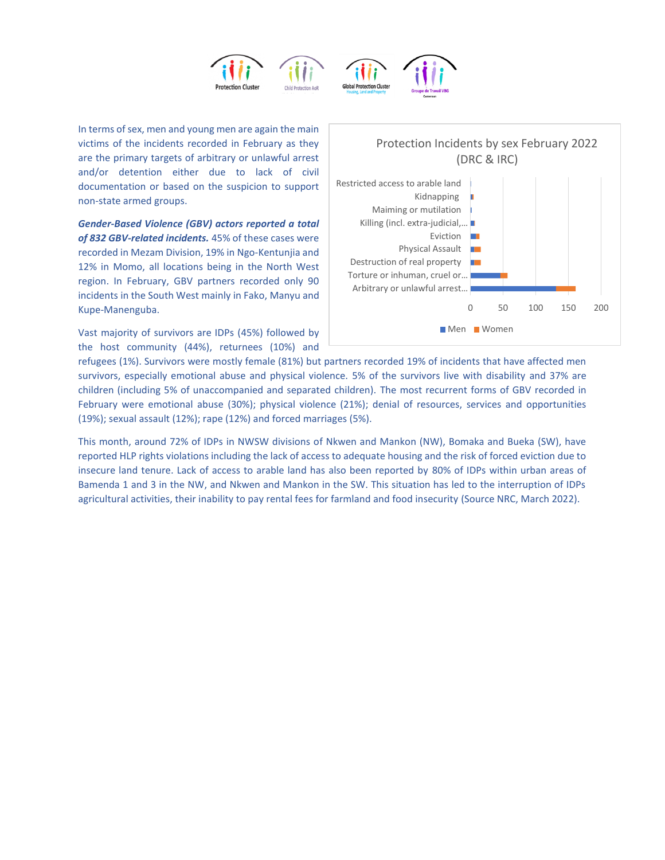

In terms of sex, men and young men are again the main victims of the incidents recorded in February as they are the primary targets of arbitrary or unlawful arrest and/or detention either due to lack of civil documentation or based on the suspicion to support non-state armed groups.

*Gender-Based Violence (GBV) actors reported a total of 832 GBV-related incidents.* 45% of these cases were recorded in Mezam Division, 19% in Ngo-Kentunjia and 12% in Momo, all locations being in the North West region. In February, GBV partners recorded only 90 incidents in the South West mainly in Fako, Manyu and Kupe-Manenguba.

Vast majority of survivors are IDPs (45%) followed by the host community (44%), returnees (10%) and



refugees (1%). Survivors were mostly female (81%) but partners recorded 19% of incidents that have affected men survivors, especially emotional abuse and physical violence. 5% of the survivors live with disability and 37% are children (including 5% of unaccompanied and separated children). The most recurrent forms of GBV recorded in February were emotional abuse (30%); physical violence (21%); denial of resources, services and opportunities (19%); sexual assault (12%); rape (12%) and forced marriages (5%).

This month, around 72% of IDPs in NWSW divisions of Nkwen and Mankon (NW), Bomaka and Bueka (SW), have reported HLP rights violations including the lack of access to adequate housing and the risk of forced eviction due to insecure land tenure. Lack of access to arable land has also been reported by 80% of IDPs within urban areas of Bamenda 1 and 3 in the NW, and Nkwen and Mankon in the SW. This situation has led to the interruption of IDPs agricultural activities, their inability to pay rental fees for farmland and food insecurity (Source NRC, March 2022).